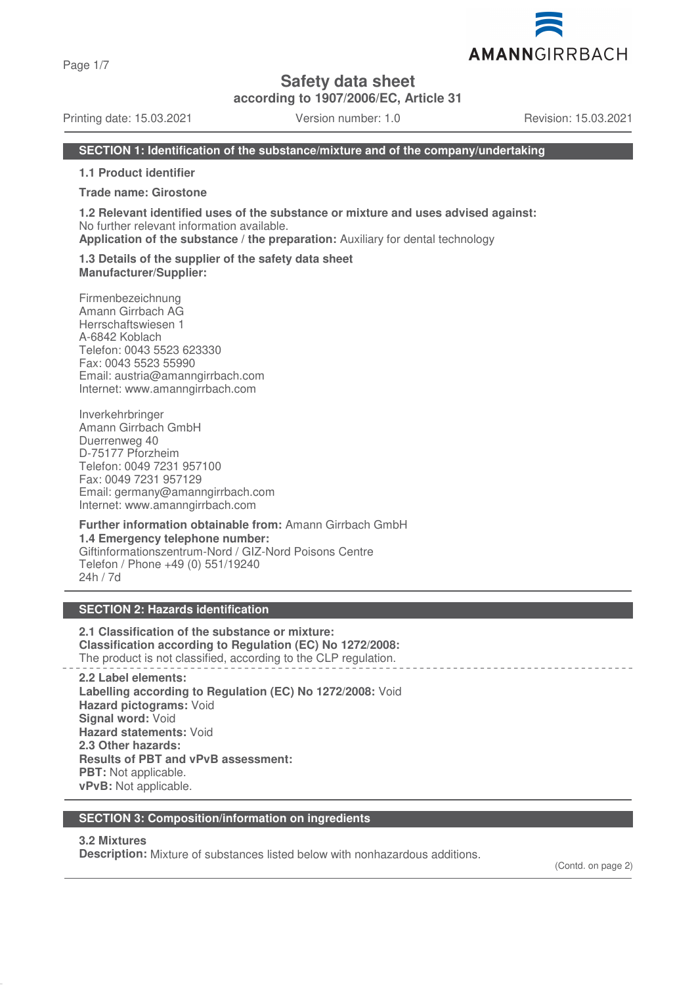Page 1/7

**Safety data sheet**

**according to 1907/2006/EC, Article 31**

Printing date: 15.03.2021 Version number: 1.0 Revision: 15.03.2021

AMANNGIRRBACH

### **SECTION 1: Identification of the substance/mixture and of the company/undertaking**

**1.1 Product identifier**

#### **Trade name: Girostone**

**1.2 Relevant identified uses of the substance or mixture and uses advised against:** No further relevant information available.

**Application of the substance / the preparation:** Auxiliary for dental technology

### **1.3 Details of the supplier of the safety data sheet Manufacturer/Supplier:**

Firmenbezeichnung Amann Girrbach AG Herrschaftswiesen 1 A-6842 Koblach Telefon: 0043 5523 623330 Fax: 0043 5523 55990 Email: austria@amanngirrbach.com Internet: www.amanngirrbach.com

Inverkehrbringer Amann Girrbach GmbH Duerrenweg 40 D-75177 Pforzheim Telefon: 0049 7231 957100 Fax: 0049 7231 957129 Email: germany@amanngirrbach.com Internet: www.amanngirrbach.com

**Further information obtainable from:** Amann Girrbach GmbH **1.4 Emergency telephone number:** Giftinformationszentrum-Nord / GIZ-Nord Poisons Centre Telefon / Phone +49 (0) 551/19240 24h / 7d

# **SECTION 2: Hazards identification**

**2.1 Classification of the substance or mixture: Classification according to Regulation (EC) No 1272/2008:** The product is not classified, according to the CLP regulation.

**2.2 Label elements: Labelling according to Regulation (EC) No 1272/2008:** Void **Hazard pictograms:** Void **Signal word:** Void **Hazard statements:** Void **2.3 Other hazards: Results of PBT and vPvB assessment: PBT:** Not applicable. **vPvB:** Not applicable.

### **SECTION 3: Composition/information on ingredients**

## **3.2 Mixtures**

**Description:** Mixture of substances listed below with nonhazardous additions.

(Contd. on page 2)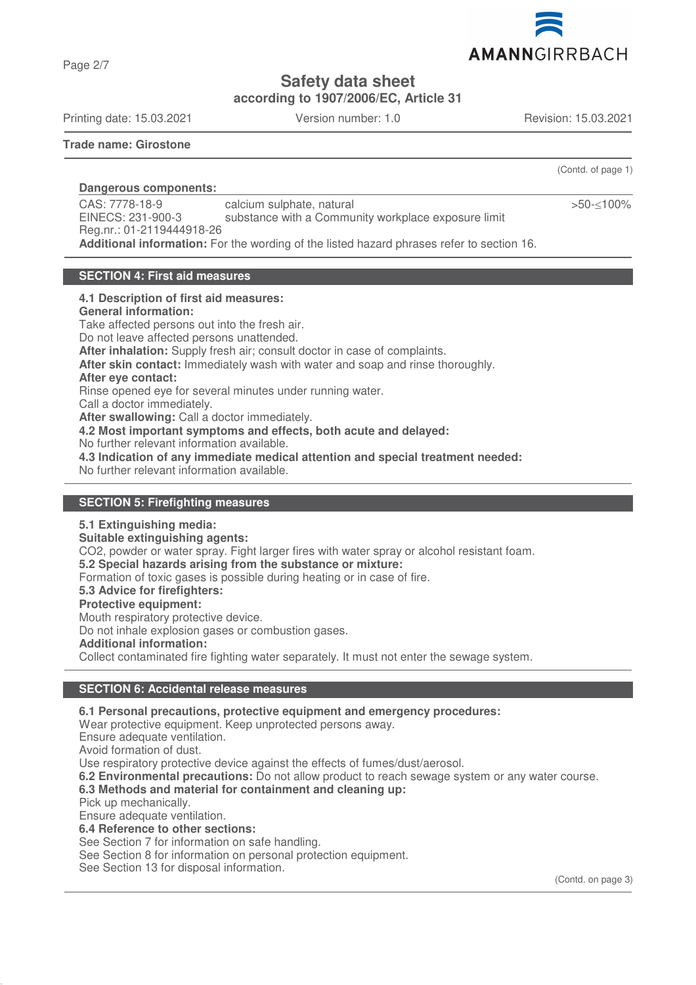

**Safety data sheet**

**according to 1907/2006/EC, Article 31**

Printing date: 15.03.2021 Version number: 1.0 Revision: 15.03.2021

Page 2/7

**Trade name: Girostone**

(Contd. of page 1)

>50-≤100%

**Dangerous components:**  CAS: 7778-18-9 EINECS: 231-900-3 Reg.nr.: 01-2119444918-26 calcium sulphate, natural substance with a Community workplace exposure limit **Additional information:** For the wording of the listed hazard phrases refer to section 16.

# **SECTION 4: First aid measures**

### **4.1 Description of first aid measures:**

#### **General information:**

Take affected persons out into the fresh air. Do not leave affected persons unattended. **After inhalation:** Supply fresh air; consult doctor in case of complaints. **After skin contact:** Immediately wash with water and soap and rinse thoroughly. **After eye contact:** Rinse opened eye for several minutes under running water. Call a doctor immediately. **After swallowing:** Call a doctor immediately. **4.2 Most important symptoms and effects, both acute and delayed:** No further relevant information available. **4.3 Indication of any immediate medical attention and special treatment needed:** No further relevant information available.

### **SECTION 5: Firefighting measures**

### **5.1 Extinguishing media:**

**Suitable extinguishing agents:** CO2, powder or water spray. Fight larger fires with water spray or alcohol resistant foam. **5.2 Special hazards arising from the substance or mixture:** Formation of toxic gases is possible during heating or in case of fire. **5.3 Advice for firefighters: Protective equipment:** Mouth respiratory protective device. Do not inhale explosion gases or combustion gases. **Additional information:**

Collect contaminated fire fighting water separately. It must not enter the sewage system.

### **SECTION 6: Accidental release measures**

## **6.1 Personal precautions, protective equipment and emergency procedures:**

Wear protective equipment. Keep unprotected persons away.

Ensure adequate ventilation.

Avoid formation of dust.

Use respiratory protective device against the effects of fumes/dust/aerosol.

**6.2 Environmental precautions:** Do not allow product to reach sewage system or any water course.

# **6.3 Methods and material for containment and cleaning up:**

Pick up mechanically.

Ensure adequate ventilation.

# **6.4 Reference to other sections:**

See Section 7 for information on safe handling.

See Section 8 for information on personal protection equipment.

See Section 13 for disposal information.

(Contd. on page 3)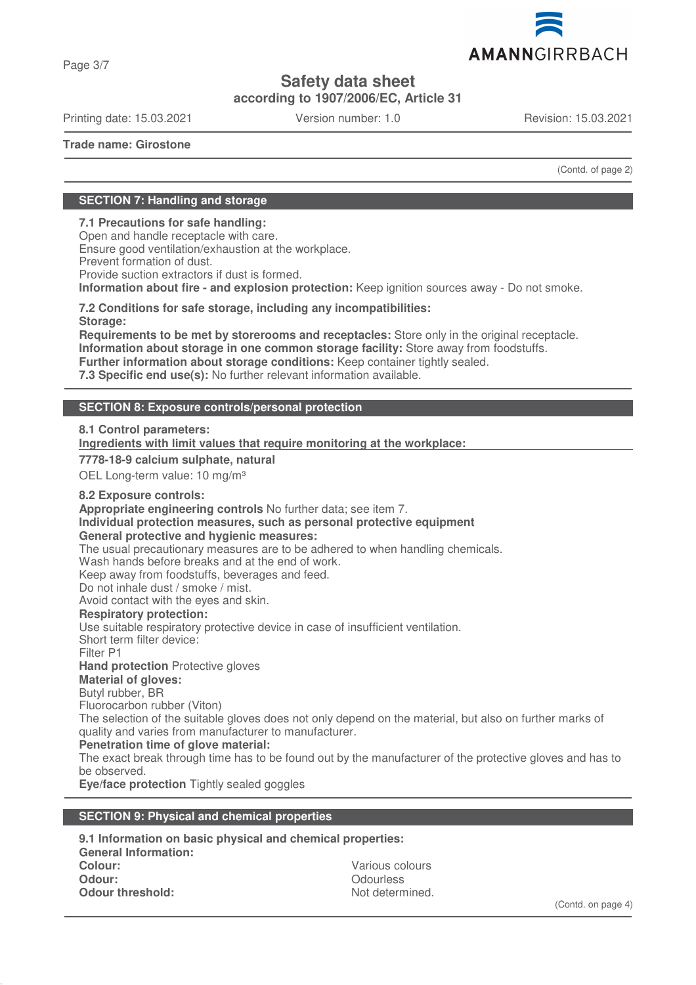

**Safety data sheet**

**according to 1907/2006/EC, Article 31**

Printing date: 15.03.2021 Version number: 1.0 Revision: 15.03.2021

AMANNGIRRBACH

**Trade name: Girostone**

(Contd. of page 2)

## **SECTION 7: Handling and storage**

# **7.1 Precautions for safe handling:**

Open and handle receptacle with care. Ensure good ventilation/exhaustion at the workplace. Prevent formation of dust. Provide suction extractors if dust is formed. **Information about fire - and explosion protection:** Keep ignition sources away - Do not smoke.

**7.2 Conditions for safe storage, including any incompatibilities: Storage:**

**Requirements to be met by storerooms and receptacles:** Store only in the original receptacle. **Information about storage in one common storage facility:** Store away from foodstuffs. **Further information about storage conditions:** Keep container tightly sealed. **7.3 Specific end use(s):** No further relevant information available.

# **SECTION 8: Exposure controls/personal protection**

## **8.1 Control parameters: Ingredients with limit values that require monitoring at the workplace: 7778-18-9 calcium sulphate, natural**

OEL Long-term value: 10 mg/m<sup>3</sup>

### **8.2 Exposure controls:**

**Appropriate engineering controls** No further data; see item 7.

# **Individual protection measures, such as personal protective equipment**

## **General protective and hygienic measures:**

The usual precautionary measures are to be adhered to when handling chemicals.

Wash hands before breaks and at the end of work.

Keep away from foodstuffs, beverages and feed.

Do not inhale dust / smoke / mist.

Avoid contact with the eyes and skin.

# **Respiratory protection:**

Use suitable respiratory protective device in case of insufficient ventilation.

Short term filter device:

Filter P1

# **Hand protection** Protective gloves

**Material of gloves:**

# Butyl rubber, BR

Fluorocarbon rubber (Viton)

The selection of the suitable gloves does not only depend on the material, but also on further marks of quality and varies from manufacturer to manufacturer.

### **Penetration time of glove material:**

The exact break through time has to be found out by the manufacturer of the protective gloves and has to be observed.

**Eye/face protection** Tightly sealed goggles

# **SECTION 9: Physical and chemical properties**

| 9.1 Information on basic physical and chemical properties: |                  |
|------------------------------------------------------------|------------------|
| <b>General Information:</b>                                |                  |
| Colour:                                                    | Various colours  |
| Odour:                                                     | <b>Odourless</b> |
| Odour threshold:                                           | Not determined.  |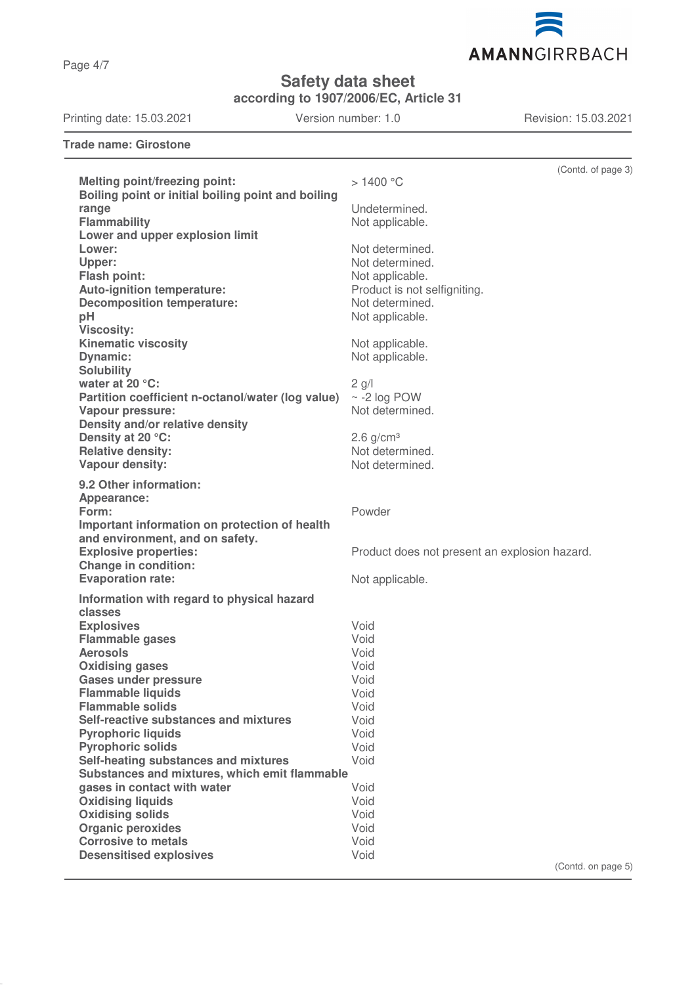Page 4/7

# **Safety data sheet**

**according to 1907/2006/EC, Article 31**

Printing date: 15.03.2021 Version number: 1.0 Revision: 15.03.2021

| <b>Trade name: Girostone</b>                                                          |                                                 |
|---------------------------------------------------------------------------------------|-------------------------------------------------|
|                                                                                       | (Contd. of page 3)                              |
| <b>Melting point/freezing point:</b>                                                  | $>1400$ °C                                      |
| Boiling point or initial boiling point and boiling                                    |                                                 |
| range                                                                                 | Undetermined.                                   |
| <b>Flammability</b>                                                                   | Not applicable.                                 |
| Lower and upper explosion limit                                                       |                                                 |
| Lower:                                                                                | Not determined.                                 |
| Upper:                                                                                | Not determined.                                 |
| Flash point:                                                                          | Not applicable.                                 |
| <b>Auto-ignition temperature:</b><br><b>Decomposition temperature:</b>                | Product is not selfigniting.<br>Not determined. |
| pH                                                                                    | Not applicable.                                 |
| <b>Viscosity:</b>                                                                     |                                                 |
| <b>Kinematic viscosity</b>                                                            | Not applicable.                                 |
| <b>Dynamic:</b>                                                                       | Not applicable.                                 |
| <b>Solubility</b>                                                                     |                                                 |
| water at 20 °C:                                                                       | $2$ g/l                                         |
| Partition coefficient n-octanol/water (log value)                                     | $\sim$ -2 log POW                               |
| Vapour pressure:                                                                      | Not determined.                                 |
| Density and/or relative density                                                       |                                                 |
| Density at 20 °C:                                                                     | $2.6$ g/cm <sup>3</sup>                         |
| <b>Relative density:</b>                                                              | Not determined.                                 |
| Vapour density:                                                                       | Not determined.                                 |
| 9.2 Other information:                                                                |                                                 |
| Appearance:                                                                           |                                                 |
| Form:                                                                                 | Powder                                          |
| Important information on protection of health                                         |                                                 |
| and environment, and on safety.                                                       |                                                 |
| <b>Explosive properties:</b>                                                          | Product does not present an explosion hazard.   |
| <b>Change in condition:</b>                                                           |                                                 |
| <b>Evaporation rate:</b>                                                              | Not applicable.                                 |
| Information with regard to physical hazard                                            |                                                 |
| classes                                                                               |                                                 |
| <b>Explosives</b>                                                                     | Void                                            |
| <b>Flammable gases</b>                                                                | Void                                            |
| <b>Aerosols</b>                                                                       | Void                                            |
| <b>Oxidising gases</b>                                                                | Void                                            |
| <b>Gases under pressure</b>                                                           | Void                                            |
| <b>Flammable liquids</b>                                                              | Void                                            |
| <b>Flammable solids</b>                                                               | Void                                            |
| Self-reactive substances and mixtures                                                 | Void                                            |
| <b>Pyrophoric liquids</b>                                                             | Void                                            |
| <b>Pyrophoric solids</b>                                                              | Void                                            |
| Self-heating substances and mixtures<br>Substances and mixtures, which emit flammable | Void                                            |
| gases in contact with water                                                           | Void                                            |
| <b>Oxidising liquids</b>                                                              | Void                                            |
| <b>Oxidising solids</b>                                                               | Void                                            |
| <b>Organic peroxides</b>                                                              | Void                                            |
| <b>Corrosive to metals</b>                                                            | Void                                            |
| <b>Desensitised explosives</b>                                                        | Void                                            |
|                                                                                       |                                                 |

(Contd. on page 5)

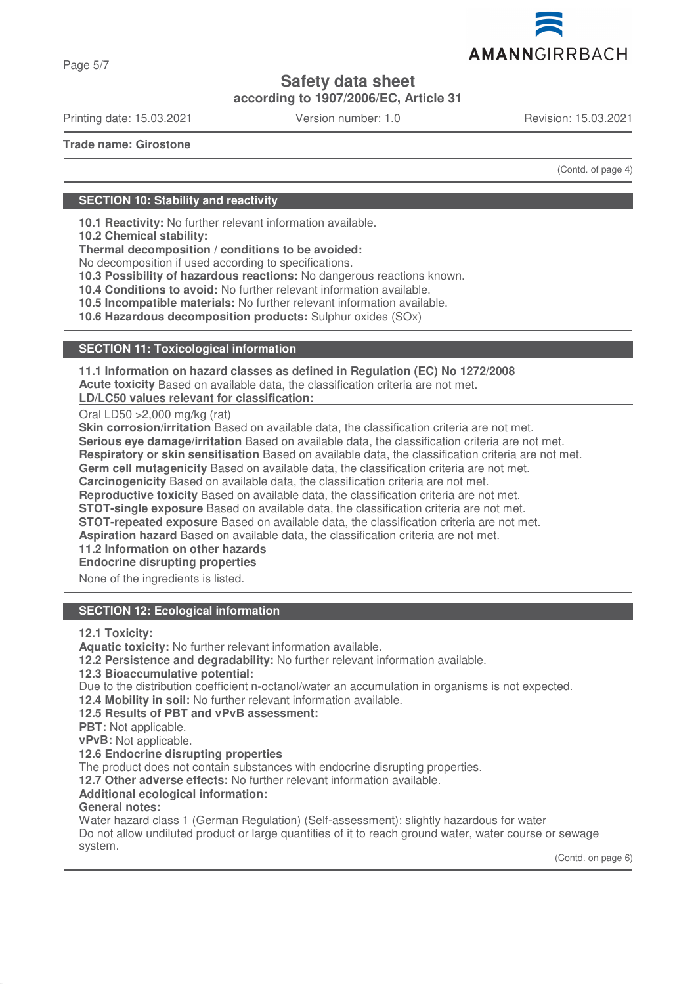

Page 5/7

# **Safety data sheet**

**according to 1907/2006/EC, Article 31**

Printing date: 15.03.2021 Version number: 1.0 Revision: 15.03.2021

**Trade name: Girostone**

(Contd. of page 4)

# **SECTION 10: Stability and reactivity**

**10.1 Reactivity:** No further relevant information available.

**10.2 Chemical stability:**

**Thermal decomposition / conditions to be avoided:**

No decomposition if used according to specifications.

**10.3 Possibility of hazardous reactions:** No dangerous reactions known.

**10.4 Conditions to avoid:** No further relevant information available.

**10.5 Incompatible materials:** No further relevant information available.

**10.6 Hazardous decomposition products:** Sulphur oxides (SOx)

## **SECTION 11: Toxicological information**

**11.1 Information on hazard classes as defined in Regulation (EC) No 1272/2008**

**Acute toxicity** Based on available data, the classification criteria are not met.

**LD/LC50 values relevant for classification:** 

Oral LD50 >2,000 mg/kg (rat)

**Skin corrosion/irritation** Based on available data, the classification criteria are not met.

**Serious eye damage/irritation** Based on available data, the classification criteria are not met.

**Respiratory or skin sensitisation** Based on available data, the classification criteria are not met.

**Germ cell mutagenicity** Based on available data, the classification criteria are not met.

**Carcinogenicity** Based on available data, the classification criteria are not met.

**Reproductive toxicity** Based on available data, the classification criteria are not met.

**STOT-single exposure** Based on available data, the classification criteria are not met.

**STOT-repeated exposure** Based on available data, the classification criteria are not met.

**Aspiration hazard** Based on available data, the classification criteria are not met.

**11.2 Information on other hazards**

**Endocrine disrupting properties** 

None of the ingredients is listed.

# **SECTION 12: Ecological information**

**12.1 Toxicity:**

**Aquatic toxicity:** No further relevant information available.

**12.2 Persistence and degradability:** No further relevant information available.

**12.3 Bioaccumulative potential:**

Due to the distribution coefficient n-octanol/water an accumulation in organisms is not expected.

**12.4 Mobility in soil:** No further relevant information available.

**12.5 Results of PBT and vPvB assessment:**

**PBT:** Not applicable.

**vPvB:** Not applicable.

# **12.6 Endocrine disrupting properties**

The product does not contain substances with endocrine disrupting properties.

**12.7 Other adverse effects:** No further relevant information available.

**Additional ecological information:**

### **General notes:**

Water hazard class 1 (German Regulation) (Self-assessment): slightly hazardous for water Do not allow undiluted product or large quantities of it to reach ground water, water course or sewage system.

(Contd. on page 6)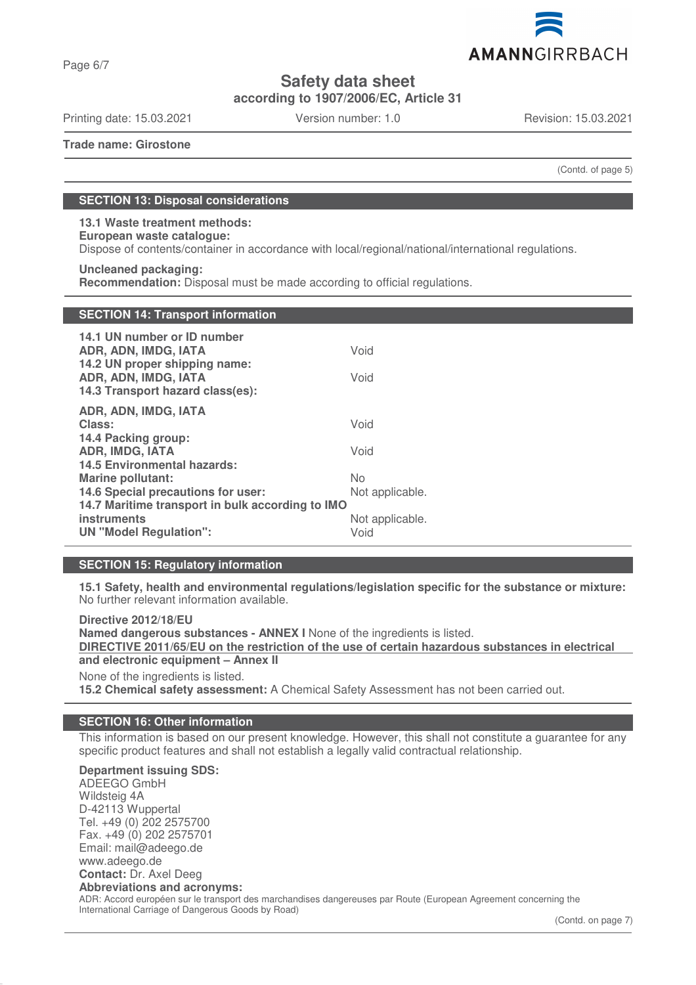

Page 6/7

# **Safety data sheet**

**according to 1907/2006/EC, Article 31**

Printing date: 15.03.2021 Version number: 1.0 Revision: 15.03.2021

**Trade name: Girostone**

(Contd. of page 5)

# **SECTION 13: Disposal considerations**

# **13.1 Waste treatment methods:**

**European waste catalogue:**

Dispose of contents/container in accordance with local/regional/national/international regulations.

### **Uncleaned packaging:**

**Recommendation:** Disposal must be made according to official regulations.

## **SECTION 14: Transport information**

| 14.1 UN number or ID number<br>ADR, ADN, IMDG, IATA<br>14.2 UN proper shipping name:<br>ADR, ADN, IMDG, IATA<br>14.3 Transport hazard class(es): | Void<br>Void    |
|--------------------------------------------------------------------------------------------------------------------------------------------------|-----------------|
| ADR, ADN, IMDG, IATA                                                                                                                             |                 |
| Class:                                                                                                                                           | Void            |
| 14.4 Packing group:                                                                                                                              |                 |
| <b>ADR, IMDG, IATA</b>                                                                                                                           | Void            |
| <b>14.5 Environmental hazards:</b>                                                                                                               |                 |
| <b>Marine pollutant:</b>                                                                                                                         | No.             |
| 14.6 Special precautions for user:                                                                                                               | Not applicable. |
| 14.7 Maritime transport in bulk according to IMO                                                                                                 |                 |
| <b>instruments</b>                                                                                                                               | Not applicable. |
| <b>UN "Model Regulation":</b>                                                                                                                    | Void            |

### **SECTION 15: Regulatory information**

**15.1 Safety, health and environmental regulations/legislation specific for the substance or mixture:** No further relevant information available.

**Directive 2012/18/EU Named dangerous substances - ANNEX I** None of the ingredients is listed. **DIRECTIVE 2011/65/EU on the restriction of the use of certain hazardous substances in electrical and electronic equipment – Annex II**

None of the ingredients is listed. **15.2 Chemical safety assessment:** A Chemical Safety Assessment has not been carried out.

### **SECTION 16: Other information**

This information is based on our present knowledge. However, this shall not constitute a guarantee for any specific product features and shall not establish a legally valid contractual relationship.

**Department issuing SDS:** ADEEGO GmbH Wildsteig 4A D-42113 Wuppertal Tel. +49 (0) 202 2575700 Fax. +49 (0) 202 2575701 Email: mail@adeego.de www.adeego.de **Contact:** Dr. Axel Deeg **Abbreviations and acronyms:** ADR: Accord européen sur le transport des marchandises dangereuses par Route (European Agreement concerning the International Carriage of Dangerous Goods by Road)